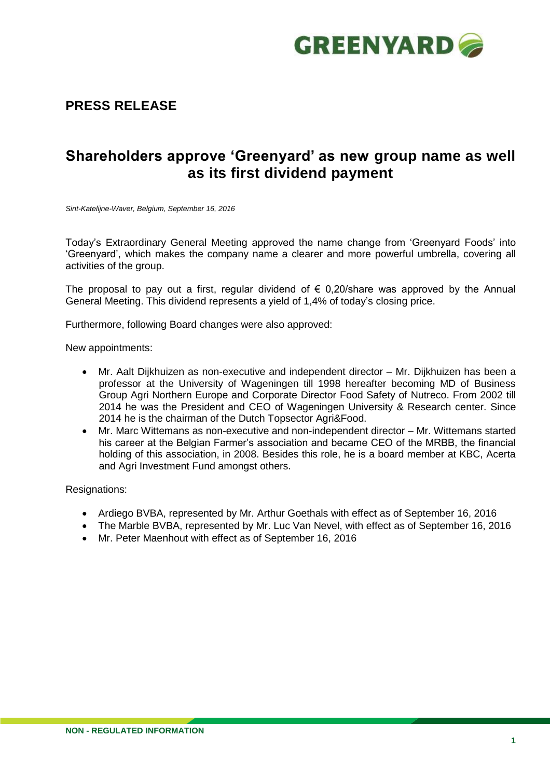

## **PRESS RELEASE**

# **Shareholders approve 'Greenyard' as new group name as well as its first dividend payment**

*Sint-Katelijne-Waver, Belgium, September 16, 2016*

Today's Extraordinary General Meeting approved the name change from 'Greenyard Foods' into 'Greenyard', which makes the company name a clearer and more powerful umbrella, covering all activities of the group.

The proposal to pay out a first, regular dividend of  $\epsilon$  0,20/share was approved by the Annual General Meeting. This dividend represents a yield of 1,4% of today's closing price.

Furthermore, following Board changes were also approved:

New appointments:

- Mr. Aalt Dijkhuizen as non-executive and independent director Mr. Dijkhuizen has been a professor at the University of Wageningen till 1998 hereafter becoming MD of Business Group Agri Northern Europe and Corporate Director Food Safety of Nutreco. From 2002 till 2014 he was the President and CEO of Wageningen University & Research center. Since 2014 he is the chairman of the Dutch Topsector Agri&Food.
- Mr. Marc Wittemans as non-executive and non-independent director Mr. Wittemans started his career at the Belgian Farmer's association and became CEO of the MRBB, the financial holding of this association, in 2008. Besides this role, he is a board member at KBC, Acerta and Agri Investment Fund amongst others.

Resignations:

- Ardiego BVBA, represented by Mr. Arthur Goethals with effect as of September 16, 2016
- The Marble BVBA, represented by Mr. Luc Van Nevel, with effect as of September 16, 2016
- Mr. Peter Maenhout with effect as of September 16, 2016